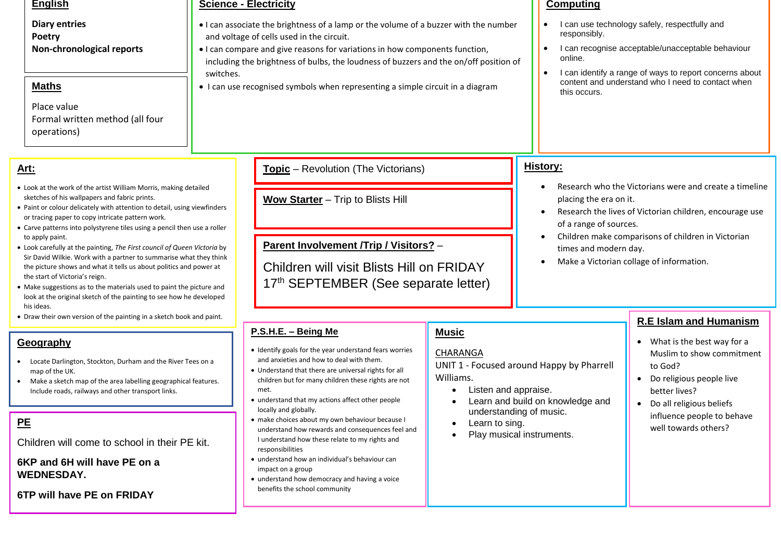#### **English**

**Diary entries Poetry Non-chronological reports**

# **Maths**

Place value Formal written method (all four operations)

# **Art:**

- Look at the work of the artist William Morris, making detailed sketches of his wallpapers and fabric prints.
- Paint or colour delicately with attention to detail, using viewfinders or tracing paper to copy intricate pattern work.
- Carve patterns into polystyrene tiles using a pencil then use a roller to apply paint.
- Look carefully at the painting, *The First council of Queen Victoria* by Sir David Wilkie. Work with a partner to summarise what they think the picture shows and what it tells us about politics and power at the start of Victoria's reign.
- Make suggestions as to the materials used to paint the picture and look at the original sketch of the painting to see how he developed his ideas.
- Draw their own version of the painting in a sketch book and paint.

### **Geography**

- Locate Darlington, Stockton, Durham and the River Tees on a map of the UK.
- Make a sketch map of the area labelling geographical features. Include roads, railways and other transport links.

# **PE**

Children will come to school in their PE kit.

# **6KP and 6H will have PE on a WEDNESDAY.**

**6TP will have PE on FRIDAY**

#### **Science - Electricity**

- I can associate the brightness of a lamp or the volume of a buzzer with the number and voltage of cells used in the circuit.
- I can compare and give reasons for variations in how components function, including the brightness of bulbs, the loudness of buzzers and the on/off position of switches.
- I can use recognised symbols when representing a simple circuit in a diagram

# **Topic** – Revolution (The Victorians)

**Wow Starter** – Trip to Blists Hill

**Parent Involvement /Trip / Visitors?** –

Children will visit Blists Hill on FRIDAY 17<sup>th</sup> SEPTEMBER (See separate letter)

# **P.S.H.E. – Being Me**

- Identify goals for the year understand fears worries and anxieties and how to deal with them.
- Understand that there are universal rights for all children but for many children these rights are not met.
- understand that my actions affect other people locally and globally.
- make choices about my own behaviour because I understand how rewards and consequences feel and I understand how these relate to my rights and responsibilities
- understand how an individual's behaviour can impact on a group
- understand how democracy and having a voice benefits the school community

#### **Computing**

- I can use technology safely, respectfully and responsibly.
- I can recognise acceptable/unacceptable behaviour online.
- I can identify a range of ways to report concerns about content and understand who I need to contact when this occurs.

# **History:**

- Research who the Victorians were and create a timeline placing the era on it.
- Research the lives of Victorian children, encourage use of a range of sources.
- Children make comparisons of children in Victorian times and modern day.
- Make a Victorian collage of information.

# **R.E Islam and Humanism**

- What is the best way for a Muslim to show commitment to God?
- Do religious people live better lives?
- Do all religious beliefs influence people to behave well towards others?

# **Music**

# **CHARANGA**

UNIT 1 - Focused around Happy by Pharrell Williams.

- Listen and appraise.
- Learn and build on knowledge and understanding of music.
- Learn to sing.
- Play musical instruments.